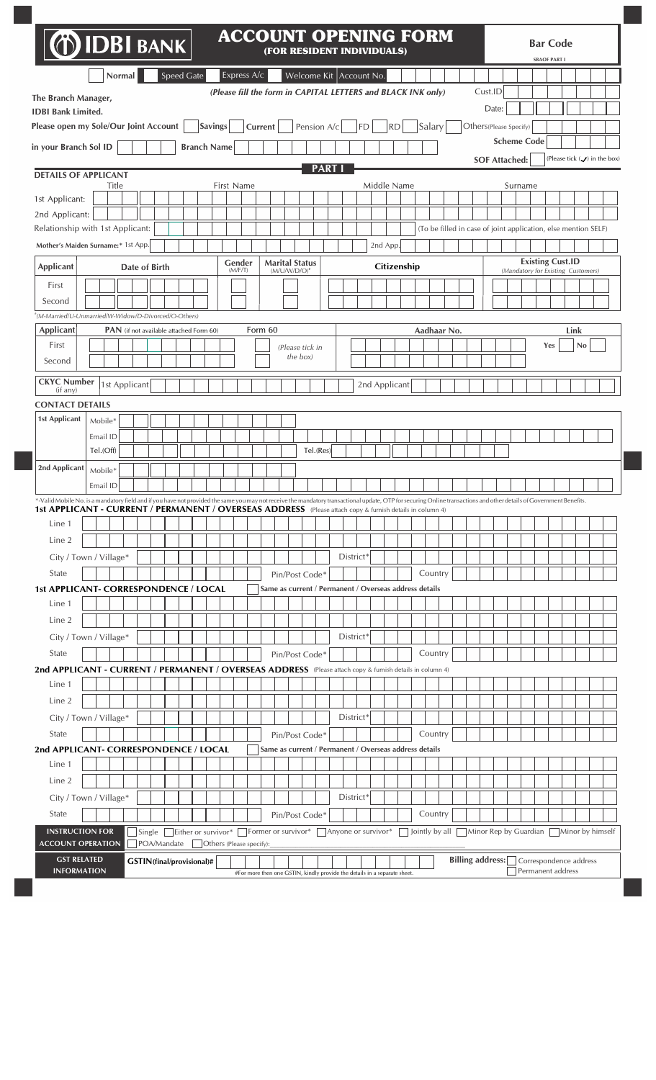| <b>O IDBI BANK</b>                                                                                                                                                                                                                                                                                                                |                        |                                                |                           |                    |                |                          |                                                                           |         |                                          |             |      | (FOR RESIDENT INDIVIDUALS)                                   |    |          |           |               |             |  |                        |  |                    | <b>Bar Code</b><br><b>SBAOF PART I</b>                                                                                                                                    |                   |    |                                         |
|-----------------------------------------------------------------------------------------------------------------------------------------------------------------------------------------------------------------------------------------------------------------------------------------------------------------------------------|------------------------|------------------------------------------------|---------------------------|--------------------|----------------|--------------------------|---------------------------------------------------------------------------|---------|------------------------------------------|-------------|------|--------------------------------------------------------------|----|----------|-----------|---------------|-------------|--|------------------------|--|--------------------|---------------------------------------------------------------------------------------------------------------------------------------------------------------------------|-------------------|----|-----------------------------------------|
|                                                                                                                                                                                                                                                                                                                                   |                        | Normal                                         |                           | Speed Gate         |                | Express A/c              |                                                                           |         |                                          |             |      | Welcome Kit   Account No.                                    |    |          |           |               |             |  |                        |  |                    |                                                                                                                                                                           |                   |    |                                         |
| The Branch Manager,                                                                                                                                                                                                                                                                                                               |                        |                                                |                           |                    |                |                          |                                                                           |         |                                          |             |      | (Please fill the form in CAPITAL LETTERS and BLACK INK only) |    |          |           |               |             |  | Cust.ID                |  |                    |                                                                                                                                                                           |                   |    |                                         |
| <b>IDBI Bank Limited.</b>                                                                                                                                                                                                                                                                                                         |                        |                                                |                           |                    |                |                          |                                                                           |         |                                          |             |      |                                                              |    |          |           |               |             |  | Date:                  |  |                    |                                                                                                                                                                           |                   |    |                                         |
| Please open my Sole/Our Joint Account                                                                                                                                                                                                                                                                                             |                        |                                                |                           |                    | <b>Savings</b> |                          |                                                                           | Current |                                          | Pension A/c |      |                                                              | FD |          | <b>RD</b> |               | Salary      |  | Others(Please Specify) |  |                    |                                                                                                                                                                           |                   |    |                                         |
| in your Branch Sol ID                                                                                                                                                                                                                                                                                                             |                        |                                                |                           | <b>Branch Name</b> |                |                          |                                                                           |         |                                          |             |      |                                                              |    |          |           |               |             |  |                        |  | <b>Scheme Code</b> |                                                                                                                                                                           |                   |    |                                         |
|                                                                                                                                                                                                                                                                                                                                   |                        |                                                |                           |                    |                |                          |                                                                           |         |                                          |             |      |                                                              |    |          |           |               |             |  | <b>SOF Attached:</b>   |  |                    |                                                                                                                                                                           |                   |    | (Please tick $(\checkmark)$ in the box) |
| <b>DETAILS OF APPLICANT</b>                                                                                                                                                                                                                                                                                                       | Title                  |                                                |                           |                    |                | First Name               |                                                                           |         |                                          |             | PART |                                                              |    |          |           | Middle Name   |             |  |                        |  | Surname            |                                                                                                                                                                           |                   |    |                                         |
| 1st Applicant:                                                                                                                                                                                                                                                                                                                    |                        |                                                |                           |                    |                |                          |                                                                           |         |                                          |             |      |                                                              |    |          |           |               |             |  |                        |  |                    |                                                                                                                                                                           |                   |    |                                         |
| 2nd Applicant:                                                                                                                                                                                                                                                                                                                    |                        |                                                |                           |                    |                |                          |                                                                           |         |                                          |             |      |                                                              |    |          |           |               |             |  |                        |  |                    |                                                                                                                                                                           |                   |    |                                         |
| Relationship with 1st Applicant:                                                                                                                                                                                                                                                                                                  |                        |                                                |                           |                    |                |                          |                                                                           |         |                                          |             |      |                                                              |    |          |           |               |             |  |                        |  |                    | (To be filled in case of joint application, else mention SELF)                                                                                                            |                   |    |                                         |
| Mother's Maiden Surname:* 1st App.                                                                                                                                                                                                                                                                                                |                        |                                                |                           |                    |                |                          |                                                                           |         |                                          |             |      |                                                              |    | 2nd App. |           |               |             |  |                        |  |                    |                                                                                                                                                                           |                   |    |                                         |
| <b>Applicant</b>                                                                                                                                                                                                                                                                                                                  |                        | Date of Birth                                  |                           |                    |                | Gender<br>(M/F/T)        |                                                                           |         | <b>Marital Status</b><br>$(M/U/W/D/O)^*$ |             |      |                                                              |    |          |           | Citizenship   |             |  |                        |  |                    | <b>Existing Cust.ID</b><br>(Mandatory for Existing Customers)                                                                                                             |                   |    |                                         |
| First                                                                                                                                                                                                                                                                                                                             |                        |                                                |                           |                    |                |                          |                                                                           |         |                                          |             |      |                                                              |    |          |           |               |             |  |                        |  |                    |                                                                                                                                                                           |                   |    |                                         |
| Second                                                                                                                                                                                                                                                                                                                            |                        |                                                |                           |                    |                |                          |                                                                           |         |                                          |             |      |                                                              |    |          |           |               |             |  |                        |  |                    |                                                                                                                                                                           |                   |    |                                         |
| *(M-Married/U-Unmarried/W-Widow/D-Divorced/O-Others)                                                                                                                                                                                                                                                                              |                        |                                                |                           |                    |                |                          |                                                                           |         |                                          |             |      |                                                              |    |          |           |               |             |  |                        |  |                    |                                                                                                                                                                           |                   |    |                                         |
| Applicant                                                                                                                                                                                                                                                                                                                         |                        | <b>PAN</b> (if not available attached Form 60) |                           |                    |                |                          |                                                                           | Form 60 |                                          |             |      |                                                              |    |          |           |               | Aadhaar No. |  |                        |  |                    |                                                                                                                                                                           | Link              |    |                                         |
| First                                                                                                                                                                                                                                                                                                                             |                        |                                                |                           |                    |                |                          |                                                                           |         | (Please tick in<br>the box)              |             |      |                                                              |    |          |           |               |             |  |                        |  |                    | Yes                                                                                                                                                                       |                   | No |                                         |
| Second                                                                                                                                                                                                                                                                                                                            |                        |                                                |                           |                    |                |                          |                                                                           |         |                                          |             |      |                                                              |    |          |           |               |             |  |                        |  |                    |                                                                                                                                                                           |                   |    |                                         |
| <b>CKYC Number</b><br>(if any)                                                                                                                                                                                                                                                                                                    | 1st Applicant          |                                                |                           |                    |                |                          |                                                                           |         |                                          |             |      |                                                              |    |          |           | 2nd Applicant |             |  |                        |  |                    |                                                                                                                                                                           |                   |    |                                         |
| <b>CONTACT DETAILS</b>                                                                                                                                                                                                                                                                                                            |                        |                                                |                           |                    |                |                          |                                                                           |         |                                          |             |      |                                                              |    |          |           |               |             |  |                        |  |                    |                                                                                                                                                                           |                   |    |                                         |
| 1st Applicant                                                                                                                                                                                                                                                                                                                     | Mobile*                |                                                |                           |                    |                |                          |                                                                           |         |                                          |             |      |                                                              |    |          |           |               |             |  |                        |  |                    |                                                                                                                                                                           |                   |    |                                         |
|                                                                                                                                                                                                                                                                                                                                   | Email ID               |                                                |                           |                    |                |                          |                                                                           |         |                                          |             |      |                                                              |    |          |           |               |             |  |                        |  |                    |                                                                                                                                                                           |                   |    |                                         |
|                                                                                                                                                                                                                                                                                                                                   | Tel.(Off)              |                                                |                           |                    |                |                          |                                                                           |         |                                          | Tel.(Res)   |      |                                                              |    |          |           |               |             |  |                        |  |                    |                                                                                                                                                                           |                   |    |                                         |
| 2nd Applicant                                                                                                                                                                                                                                                                                                                     | Mobile*                |                                                |                           |                    |                |                          |                                                                           |         |                                          |             |      |                                                              |    |          |           |               |             |  |                        |  |                    |                                                                                                                                                                           |                   |    |                                         |
|                                                                                                                                                                                                                                                                                                                                   | Email ID               |                                                |                           |                    |                |                          |                                                                           |         |                                          |             |      |                                                              |    |          |           |               |             |  |                        |  |                    |                                                                                                                                                                           |                   |    |                                         |
| *-Valid Mobile No. is a mandatory field and if you have not provided the same you may not receive the mandatory transactional update, OTP for securing Online transactions and other details of Government Benefits.<br>1st APPLICANT - CURRENT / PERMANENT / OVERSEAS ADDRESS (Please attach copy & furnish details in column 4) |                        |                                                |                           |                    |                |                          |                                                                           |         |                                          |             |      |                                                              |    |          |           |               |             |  |                        |  |                    |                                                                                                                                                                           |                   |    |                                         |
| Line 1                                                                                                                                                                                                                                                                                                                            |                        |                                                |                           |                    |                |                          |                                                                           |         |                                          |             |      |                                                              |    |          |           |               |             |  |                        |  |                    |                                                                                                                                                                           |                   |    |                                         |
| Line 2                                                                                                                                                                                                                                                                                                                            |                        |                                                |                           |                    |                |                          |                                                                           |         |                                          |             |      |                                                              |    |          |           |               |             |  |                        |  |                    |                                                                                                                                                                           |                   |    |                                         |
|                                                                                                                                                                                                                                                                                                                                   | City / Town / Village* |                                                |                           |                    |                |                          |                                                                           |         |                                          |             |      | District*                                                    |    |          |           |               |             |  |                        |  |                    |                                                                                                                                                                           |                   |    |                                         |
| State                                                                                                                                                                                                                                                                                                                             |                        |                                                |                           |                    |                |                          |                                                                           |         | Pin/Post Code*                           |             |      |                                                              |    |          |           |               | Country     |  |                        |  |                    |                                                                                                                                                                           |                   |    |                                         |
| <b>1st APPLICANT- CORRESPONDENCE / LOCAL</b>                                                                                                                                                                                                                                                                                      |                        |                                                |                           |                    |                |                          |                                                                           |         |                                          |             |      | Same as current / Permanent / Overseas address details       |    |          |           |               |             |  |                        |  |                    |                                                                                                                                                                           |                   |    |                                         |
| Line 1                                                                                                                                                                                                                                                                                                                            |                        |                                                |                           |                    |                |                          |                                                                           |         |                                          |             |      |                                                              |    |          |           |               |             |  |                        |  |                    |                                                                                                                                                                           |                   |    |                                         |
| Line 2                                                                                                                                                                                                                                                                                                                            |                        |                                                |                           |                    |                |                          |                                                                           |         |                                          |             |      |                                                              |    |          |           |               |             |  |                        |  |                    |                                                                                                                                                                           |                   |    |                                         |
|                                                                                                                                                                                                                                                                                                                                   | City / Town / Village* |                                                |                           |                    |                |                          |                                                                           |         |                                          |             |      | District*                                                    |    |          |           |               |             |  |                        |  |                    |                                                                                                                                                                           |                   |    |                                         |
| State                                                                                                                                                                                                                                                                                                                             |                        |                                                |                           |                    |                |                          |                                                                           |         | Pin/Post Code*                           |             |      |                                                              |    |          |           |               | Country     |  |                        |  |                    |                                                                                                                                                                           |                   |    |                                         |
| 2nd APPLICANT - CURRENT / PERMANENT / OVERSEAS ADDRESS (Please attach copy & furnish details in column 4)                                                                                                                                                                                                                         |                        |                                                |                           |                    |                |                          |                                                                           |         |                                          |             |      |                                                              |    |          |           |               |             |  |                        |  |                    |                                                                                                                                                                           |                   |    |                                         |
| Line 1                                                                                                                                                                                                                                                                                                                            |                        |                                                |                           |                    |                |                          |                                                                           |         |                                          |             |      |                                                              |    |          |           |               |             |  |                        |  |                    |                                                                                                                                                                           |                   |    |                                         |
| Line 2                                                                                                                                                                                                                                                                                                                            |                        |                                                |                           |                    |                |                          |                                                                           |         |                                          |             |      |                                                              |    |          |           |               |             |  |                        |  |                    |                                                                                                                                                                           |                   |    |                                         |
|                                                                                                                                                                                                                                                                                                                                   | City / Town / Village* |                                                |                           |                    |                |                          |                                                                           |         |                                          |             |      | District*                                                    |    |          |           |               |             |  |                        |  |                    |                                                                                                                                                                           |                   |    |                                         |
| State<br>2nd APPLICANT- CORRESPONDENCE / LOCAL                                                                                                                                                                                                                                                                                    |                        |                                                |                           |                    |                |                          |                                                                           |         | Pin/Post Code*                           |             |      | Same as current / Permanent / Overseas address details       |    |          |           |               | Country     |  |                        |  |                    |                                                                                                                                                                           |                   |    |                                         |
| Line 1                                                                                                                                                                                                                                                                                                                            |                        |                                                |                           |                    |                |                          |                                                                           |         |                                          |             |      |                                                              |    |          |           |               |             |  |                        |  |                    |                                                                                                                                                                           |                   |    |                                         |
| Line 2                                                                                                                                                                                                                                                                                                                            |                        |                                                |                           |                    |                |                          |                                                                           |         |                                          |             |      |                                                              |    |          |           |               |             |  |                        |  |                    |                                                                                                                                                                           |                   |    |                                         |
|                                                                                                                                                                                                                                                                                                                                   | City / Town / Village* |                                                |                           |                    |                |                          |                                                                           |         |                                          |             |      | District*                                                    |    |          |           |               |             |  |                        |  |                    |                                                                                                                                                                           |                   |    |                                         |
| State                                                                                                                                                                                                                                                                                                                             |                        |                                                |                           |                    |                |                          |                                                                           |         | Pin/Post Code*                           |             |      |                                                              |    |          |           |               | Country     |  |                        |  |                    |                                                                                                                                                                           |                   |    |                                         |
| <b>INSTRUCTION FOR</b><br><b>ACCOUNT OPERATION</b>                                                                                                                                                                                                                                                                                |                        |                                                | POA/Mandate               |                    |                |                          |                                                                           |         |                                          |             |      |                                                              |    |          |           |               |             |  |                        |  |                    | $\Box$ Single $\Box$ Either or survivor* $\Box$ Former or survivor* $\Box$ Anyone or survivor* $\Box$ Jointly by all $\Box$ Minor Rep by Guardian $\Box$ Minor by himself |                   |    |                                         |
| <b>GST RELATED</b>                                                                                                                                                                                                                                                                                                                |                        |                                                |                           |                    |                | Others (Please specify): |                                                                           |         |                                          |             |      |                                                              |    |          |           |               |             |  |                        |  |                    | Billing address: Correspondence address                                                                                                                                   |                   |    |                                         |
|                                                                                                                                                                                                                                                                                                                                   |                        |                                                | GSTIN(final/provisional)# |                    |                |                          | #For more then one GSTIN, kindly provide the details in a separate sheet. |         |                                          |             |      |                                                              |    |          |           |               |             |  |                        |  |                    |                                                                                                                                                                           | Permanent address |    |                                         |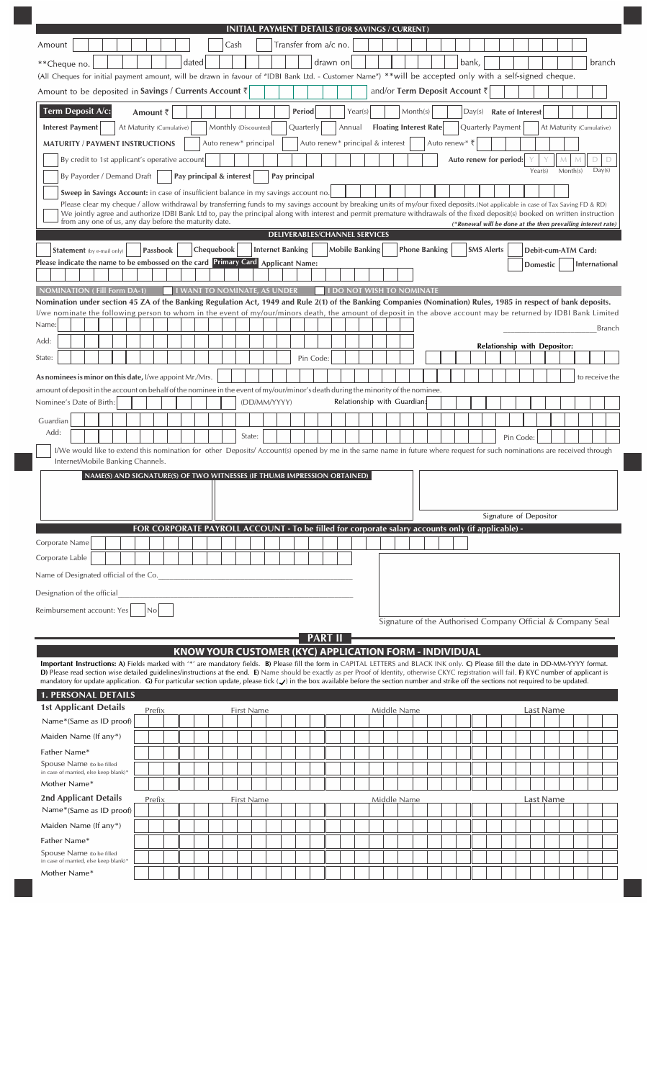| INITIAL PAYMENT DETAILS (FOR SAVINGS / CURRENT)                                                                                                                                                                                                                                                                                                                                                   |                                                              |
|---------------------------------------------------------------------------------------------------------------------------------------------------------------------------------------------------------------------------------------------------------------------------------------------------------------------------------------------------------------------------------------------------|--------------------------------------------------------------|
| Transfer from a/c no.<br>Amount<br>Cash                                                                                                                                                                                                                                                                                                                                                           |                                                              |
| drawn on<br>dated<br>bank,<br>**Cheque no.                                                                                                                                                                                                                                                                                                                                                        | branch                                                       |
| (All Cheques for initial payment amount, will be drawn in favour of "IDBI Bank Ltd. - Customer Name") **will be accepted only with a self-signed cheque.                                                                                                                                                                                                                                          |                                                              |
| and/or Term Deposit Account ₹<br>Amount to be deposited in Savings / Currents Account $\bar{\tau}$                                                                                                                                                                                                                                                                                                |                                                              |
| Term Deposit A/c:<br>Period<br>Year(s)<br>Month(s)<br>Amount ₹<br><b>Interest Payment</b><br>At Maturity (Cumulative)<br>Monthly (Discounted)<br>Quarterly<br>Annual<br><b>Floating Interest Rate</b><br>Quarterly Payment                                                                                                                                                                        | Day(s) Rate of Interest<br>At Maturity (Cumulative)          |
| Auto renew* principal<br>Auto renew* principal & interest<br>Auto renew* ₹<br><b>MATURITY / PAYMENT INSTRUCTIONS</b>                                                                                                                                                                                                                                                                              |                                                              |
| By credit to 1st applicant's operative account<br>Auto renew for period:                                                                                                                                                                                                                                                                                                                          | D<br>М<br>D                                                  |
| By Payorder / Demand Draft<br>Pay principal & interest<br>Pay principal                                                                                                                                                                                                                                                                                                                           | Year(s)<br>Day(s)<br>Month(s)                                |
| Sweep in Savings Account: in case of insufficient balance in my savings account no.                                                                                                                                                                                                                                                                                                               |                                                              |
| Please clear my cheque / allow withdrawal by transferring funds to my savings account by breaking units of my/our fixed deposits. (Not applicable in case of Tax Saving FD & RD)<br>We jointly agree and authorize IDBI Bank Ltd to, pay the principal along with interest and permit premature withdrawals of the fixed deposit(s) booked on written instruction                                 |                                                              |
| from any one of us, any day before the maturity date.                                                                                                                                                                                                                                                                                                                                             | (*Renewal will be done at the then prevailing interest rate) |
| <b>DELIVERABLES/CHANNEL SERVICES</b><br>Chequebook<br><b>Internet Banking</b><br><b>Mobile Banking</b><br><b>Phone Banking</b><br>Passbook<br><b>SMS Alerts</b>                                                                                                                                                                                                                                   | Debit-cum-ATM Card:                                          |
| <b>Statement</b> (by e-mail only)<br>Please indicate the name to be embossed on the card Primary Card Applicant Name:                                                                                                                                                                                                                                                                             | <b>Domestic</b><br><b>International</b>                      |
|                                                                                                                                                                                                                                                                                                                                                                                                   |                                                              |
| <b>NOMINATION (Fill Form DA-1)</b><br><b>I WANT TO NOMINATE, AS UNDER</b><br><b>I DO NOT WISH TO NOMINATE</b>                                                                                                                                                                                                                                                                                     |                                                              |
| Nomination under section 45 ZA of the Banking Regulation Act, 1949 and Rule 2(1) of the Banking Companies (Nomination) Rules, 1985 in respect of bank deposits.<br>I/we nominate the following person to whom in the event of my/our/minors death, the amount of deposit in the above account may be returned by IDBI Bank Limited                                                                |                                                              |
| Name:                                                                                                                                                                                                                                                                                                                                                                                             | <b>Branch</b>                                                |
| Add:                                                                                                                                                                                                                                                                                                                                                                                              | Relationship with Depositor:                                 |
| State:<br>Pin Code:                                                                                                                                                                                                                                                                                                                                                                               |                                                              |
| As nominees is minor on this date, I/we appoint Mr./Mrs.                                                                                                                                                                                                                                                                                                                                          | to receive the                                               |
| amount of deposit in the account on behalf of the nominee in the event of my/our/minor's death during the minority of the nominee.<br>Relationship with Guardian:<br>(DD/MM/YYYY)<br>Nominee's Date of Birth:                                                                                                                                                                                     |                                                              |
| Guardian                                                                                                                                                                                                                                                                                                                                                                                          |                                                              |
| Add:<br>State:                                                                                                                                                                                                                                                                                                                                                                                    | Pin Code:                                                    |
| I/We would like to extend this nomination for other Deposits/Account(s) opened by me in the same name in future where request for such nominations are received through                                                                                                                                                                                                                           |                                                              |
| Internet/Mobile Banking Channels.<br>NAME(S) AND SIGNATURE(S) OF TWO WITNESSES (IF THUMB IMPRESSION OBTAINED)                                                                                                                                                                                                                                                                                     |                                                              |
|                                                                                                                                                                                                                                                                                                                                                                                                   |                                                              |
|                                                                                                                                                                                                                                                                                                                                                                                                   |                                                              |
| FOR CORPORATE PAYROLL ACCOUNT - To be filled for corporate salary accounts only (if applicable) -                                                                                                                                                                                                                                                                                                 | Signature of Depositor                                       |
| Corporate Name                                                                                                                                                                                                                                                                                                                                                                                    |                                                              |
| Corporate Lable                                                                                                                                                                                                                                                                                                                                                                                   |                                                              |
| Name of Designated official of the Co.                                                                                                                                                                                                                                                                                                                                                            |                                                              |
| Designation of the official                                                                                                                                                                                                                                                                                                                                                                       |                                                              |
| Reimbursement account: Yes<br>IN <sub>o</sub>                                                                                                                                                                                                                                                                                                                                                     |                                                              |
| Signature of the Authorised Company Official & Company Seal                                                                                                                                                                                                                                                                                                                                       |                                                              |
| <b>PART II</b>                                                                                                                                                                                                                                                                                                                                                                                    |                                                              |
| KNOW YOUR CUSTOMER (KYC) APPLICATION FORM - INDIVIDUAL<br>Important Instructions: A) Fields marked with '*' are mandatory fields. B) Please fill the form in CAPITAL LETTERS and BLACK INK only. C) Please fill the date in DD-MM-YYYY format.                                                                                                                                                    |                                                              |
| D) Please read section wise detailed guidelines/instructions at the end. E) Name should be exactly as per Proof of Identity, otherwise CKYC registration will fail. F) KYC number of applicant is<br>mandatory for update application. G) For particular section update, please tick $(y)$ in the box available before the section number and strike off the sections not required to be updated. |                                                              |
| <b>1. PERSONAL DETAILS</b>                                                                                                                                                                                                                                                                                                                                                                        |                                                              |
| <b>1st Applicant Details</b><br>Prefix<br><b>First Name</b><br>Middle Name<br>Name*(Same as ID proof)                                                                                                                                                                                                                                                                                             | Last Name                                                    |
| Maiden Name (If any*)                                                                                                                                                                                                                                                                                                                                                                             |                                                              |
| Father Name*                                                                                                                                                                                                                                                                                                                                                                                      |                                                              |
| Spouse Name (to be filled<br>in case of married, else keep blank)*                                                                                                                                                                                                                                                                                                                                |                                                              |
| Mother Name*                                                                                                                                                                                                                                                                                                                                                                                      |                                                              |
| 2nd Applicant Details<br>Middle Name<br>Prefix<br>First Name                                                                                                                                                                                                                                                                                                                                      | Last Name                                                    |
| Name*(Same as ID proof)                                                                                                                                                                                                                                                                                                                                                                           |                                                              |
| Maiden Name (If any*)<br>Father Name*                                                                                                                                                                                                                                                                                                                                                             |                                                              |
| Spouse Name (to be filled                                                                                                                                                                                                                                                                                                                                                                         |                                                              |
| in case of married, else keep blank)*<br>Mother Name*                                                                                                                                                                                                                                                                                                                                             |                                                              |
|                                                                                                                                                                                                                                                                                                                                                                                                   |                                                              |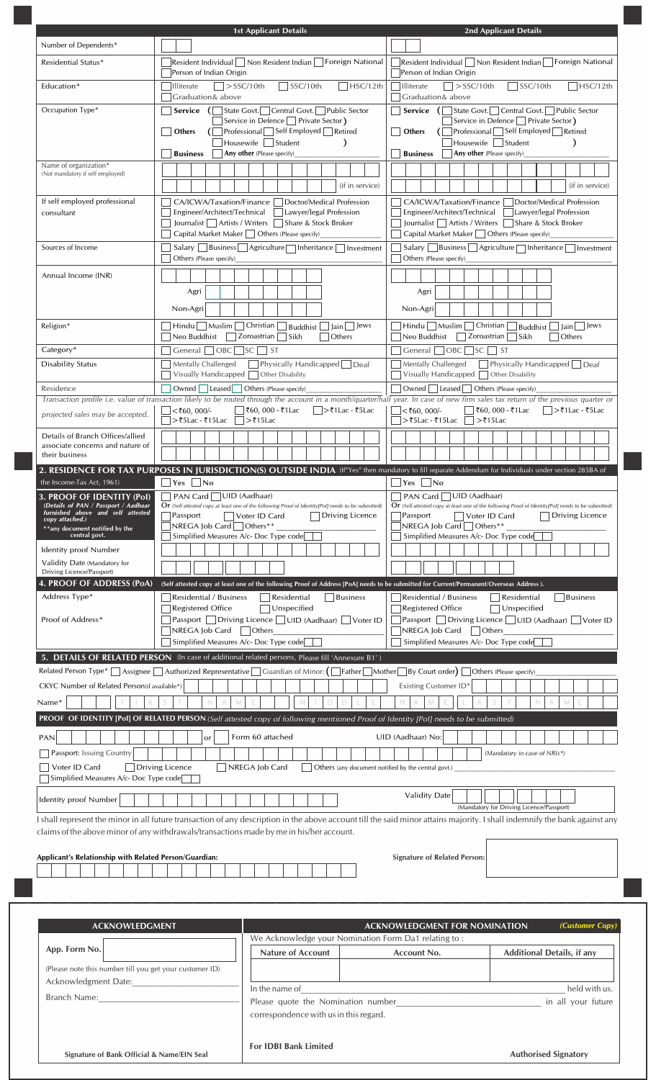| Number of Dependents*<br> Resident Individual    Non Resident Indian     Foreign National<br>Residential Status*<br>Person of Indian Origin<br>Person of Indian Origin<br>$\sqrt{\frac{SSC}{10}}$<br>$\Box$ HSC/12th<br>$\Box$ SSC/10th<br>$ $ > SSC/10th<br><b>□</b> Illiterate<br>$\Box$ > SSC/10th<br>Education*<br><b>Illiterate</b><br>Graduation& above<br>Graduation& above<br>Occupation Type*<br>Service (State Govt. Central Govt. Public Sector<br>$\Box$ Service $\Box$<br>State Govt. Central Govt. Public Sector<br>Service in Defence $\Box$ Private Sector)<br>Service in Defence Private Sector)<br>(□ Professional □ Self Employed □ Retired<br>$\Box$ Professional Self Employed Retired<br>Others<br>  Others<br>Housewife   Student<br>$\lambda$<br>$\exists$ Housewife $\Box$ Student<br>$\lambda$<br><b>Any other</b> (Please specify)<br><b>Business</b><br>Any other (Please specify)<br><b>Business</b><br>Name of organization*<br>(Not mandatory if self employed)<br>(if in service)<br>(if in service)<br>If self employed professional<br>CA/ICWA/Taxation/Finance<br>Doctor/Medical Profession<br>CA/ICWA/Taxation/Finance   Doctor/Medical Profession<br>Engineer/Architect/Technical   Lawyer/legal Profession<br>Engineer/Architect/Technical   Lawyer/legal Profession<br>consultant<br>Journalist   Artists / Writers   Share & Stock Broker<br>Journalist   Artists / Writers   Share & Stock Broker<br>Capital Market Maker   Others (Please specify)<br>Capital Market Maker $\Box$ Others (Please specify)<br>Sources of Income<br>$S$ alary   Business   Agriculture   Inheritance   Investment<br>$S$ alary   Business   Agriculture   Inheritance   Investment<br>Others (Please specify)<br>Others (Please specify)<br>Annual Income (INR)<br>Agri<br>Agri<br>Non-Agri<br>Non-Agri<br>$\Box$ Hindu $\Box$ Muslim $\Box$ Christian $\Box$ Buddhist $\Box$ Jain $\Box$ Jews<br>$\Box$ Hindu $\Box$ Muslim $\Box$ Christian $\Box$ Buddhist $\Box$ Jain $\Box$ Jews<br>Religion*<br>Neo Buddhist<br>Zoroastrian<br>Sikh<br>  Others<br>Neo Buddhist<br>$\Box$ Zoroastrian<br><b>Others</b><br>  Sikh<br>Category*<br>General   OBC   SC   ST<br>  General     OBC     SC     ST<br>Physically Handicapped Deaf<br>Physically Handicapped Deaf<br><b>Disability Status</b><br>Mentally Challenged<br>Mentally Challenged<br>Visually Handicapped $\Box$ Other Disability<br>Visually Handicapped $\Box$ Other Disability<br>Residence<br>Owned Leased Others (Please specify)<br>  Owned     Leased     Others (Please specify)<br>Transaction profile i.e. value of transaction likely to be routed through the account in a month/quarter/half year. In case of new firm sales tax return of the previous quarter or<br>$<$ ₹60, 000/-<br> ₹60, 000 - ₹1Lac<br>  $\gt$ ₹1 Lac - ₹5 Lac<br>$<$ ₹60, 000/-<br> ₹60, 000 - ₹1Lac<br>│  >₹1Lac - ₹5Lac<br>projected sales may be accepted.<br>>₹5Lac - ₹15Lac    >₹15Lac<br>>₹5Lac - ₹15Lac    >₹15Lac<br>Details of Branch Offices/allied<br>associate concerns and nature of<br>their business<br>2. RESIDENCE FOR TAX PURPOSES IN JURISDICTION(S) OUTSIDE INDIA (If"Yes" then mandatory to fill separate Addendum for Individuals under section 285BA of<br>the Income-Tax Act, 1961)<br>$\bigcap$ Yes $\bigcap$ No<br>Yes<br> No<br>PAN Card UID (Aadhaar)<br>PAN Card □ UID (Aadhaar)<br>3. PROOF OF IDENTITY (Pol)<br>Details of PAN / Passport / Aadhaar<br><b>Or</b> (Self attested copy at least one of the following Proof of Identity[PoI] needs to be submitted)<br><b>Or</b> (Self attested copy at least one of the following Proof of Identity[PoI] needs to be submitted)<br>furnished above and self attested<br>$\exists$ Passport<br>□ Voter ID Card<br>Driving Licence<br>Passport<br>Voter ID Card<br>Driving Licence<br>copy attached.)<br>$NREGA$ Job Card $\bigcap$ Others**<br>$NREGA$ Job Card<br>Others**<br>**any document notified by the<br>Simplified Measures A/c- Doc Type code<br>Simplified Measures A/c- Doc Type code<br>central govt.<br><b>Identity proof Number</b><br>Validity Date (Mandatory for<br>Driving Licence/Passport)<br>4. PROOF OF ADDRESS (PoA)<br>(Self attested copy at least one of the following Proof of Address [PoA] needs to be submitted for Current/Permanent/Overseas Address).<br>Address Type*<br>Residential<br>Business<br>Residential / Business<br><b>Business</b><br>Residential / Business<br>Residential<br>Registered Office<br>Registered Office<br>Unspecified<br>Unspecified<br>7 Passport □ Driving Licence □ UID (Aadhaar) □ Voter ID<br>Passport □ Driving Licence □ UID (Aadhaar) □ Voter ID<br>Proof of Address*<br>NREGA Job Card   Others<br>NREGA Job Card   Others<br>Simplified Measures A/c- Doc Type code<br>Simplified Measures A/c- Doc Type code<br>5. DETAILS OF RELATED PERSON (In case of additional related persons, Please fill 'Annexure B1')<br>Related Person Type* Assignee Authorized Representative Guardian of Minor: (Father Mother By Court order) Others (Please specify)<br>CKYC Number of Related Person(if available*)<br>Existing Customer ID*<br>Name*<br>N<br>PROOF OF IDENTITY [Pol] OF RELATED PERSON (Self attested copy of following mentioned Proof of Identity [Pol] needs to be submitted)<br>Form 60 attached<br>UID (Aadhaar) No:<br><b>PAN</b><br>or<br>Passport: Issuing Country<br>(Mandatory in case of NRIs*)<br>Voter ID Card<br>Driving Licence<br>NREGA Job Card<br>Others (any document notified by the central govt.)<br>Simplified Measures A/c- Doc Type code<br><b>Validity Date</b><br><b>Identity proof Number</b><br>(Mandatory for Driving Licence/Passport)<br>I shall represent the minor in all future transaction of any description in the above account till the said minor attains majority. I shall indemnify the bank against any<br>claims of the above minor of any withdrawals/transactions made by me in his/her account.<br>Applicant's Relationship with Related Person/Guardian:<br><b>Signature of Related Person:</b> | <b>1st Applicant Details</b> | <b>2nd Applicant Details</b>                                 |
|----------------------------------------------------------------------------------------------------------------------------------------------------------------------------------------------------------------------------------------------------------------------------------------------------------------------------------------------------------------------------------------------------------------------------------------------------------------------------------------------------------------------------------------------------------------------------------------------------------------------------------------------------------------------------------------------------------------------------------------------------------------------------------------------------------------------------------------------------------------------------------------------------------------------------------------------------------------------------------------------------------------------------------------------------------------------------------------------------------------------------------------------------------------------------------------------------------------------------------------------------------------------------------------------------------------------------------------------------------------------------------------------------------------------------------------------------------------------------------------------------------------------------------------------------------------------------------------------------------------------------------------------------------------------------------------------------------------------------------------------------------------------------------------------------------------------------------------------------------------------------------------------------------------------------------------------------------------------------------------------------------------------------------------------------------------------------------------------------------------------------------------------------------------------------------------------------------------------------------------------------------------------------------------------------------------------------------------------------------------------------------------------------------------------------------------------------------------------------------------------------------------------------------------------------------------------------------------------------------------------------------------------------------------------------------------------------------------------------------------------------------------------------------------------------------------------------------------------------------------------------------------------------------------------------------------------------------------------------------------------------------------------------------------------------------------------------------------------------------------------------------------------------------------------------------------------------------------------------------------------------------------------------------------------------------------------------------------------------------------------------------------------------------------------------------------------------------------------------------------------------------------------------------------------------------------------------------------------------------------------------------------------------------------------------------------------------------------------------------------------------------------------------------------------------------------------------------------------------------------------------------------------------------------------------------------------------------------------------------------------------------------------------------------------------------------------------------------------------------------------------------------------------------------------------------------------------------------------------------------------------------------------------------------------------------------------------------------------------------------------------------------------------------------------------------------------------------------------------------------------------------------------------------------------------------------------------------------------------------------------------------------------------------------------------------------------------------------------------------------------------------------------------------------------------------------------------------------------------------------------------------------------------------------------------------------------------------------------------------------------------------------------------------------------------------------------------------------------------------------------------------------------------------------------------------------------------------------------------------------------------------------------------------------------------------------------------------------------------------------------------------------------------------------------------------------------------------------------------------------------------------------------------------------------------------------------------------------------------------------------------------------------------------------------------------------------------------------------------------------------------------------------------------------------------------------------------------------------------------------------------------------------------------------------------------------------------------------------------------------------------------------------------------------------------------------------------|------------------------------|--------------------------------------------------------------|
|                                                                                                                                                                                                                                                                                                                                                                                                                                                                                                                                                                                                                                                                                                                                                                                                                                                                                                                                                                                                                                                                                                                                                                                                                                                                                                                                                                                                                                                                                                                                                                                                                                                                                                                                                                                                                                                                                                                                                                                                                                                                                                                                                                                                                                                                                                                                                                                                                                                                                                                                                                                                                                                                                                                                                                                                                                                                                                                                                                                                                                                                                                                                                                                                                                                                                                                                                                                                                                                                                                                                                                                                                                                                                                                                                                                                                                                                                                                                                                                                                                                                                                                                                                                                                                                                                                                                                                                                                                                                                                                                                                                                                                                                                                                                                                                                                                                                                                                                                                                                                                                                                                                                                                                                                                                                                                                                                                                                                                                                                                                                                                                                                                                                                                                                                                                                                                                                                                                                                                                                                                                                            |                              |                                                              |
|                                                                                                                                                                                                                                                                                                                                                                                                                                                                                                                                                                                                                                                                                                                                                                                                                                                                                                                                                                                                                                                                                                                                                                                                                                                                                                                                                                                                                                                                                                                                                                                                                                                                                                                                                                                                                                                                                                                                                                                                                                                                                                                                                                                                                                                                                                                                                                                                                                                                                                                                                                                                                                                                                                                                                                                                                                                                                                                                                                                                                                                                                                                                                                                                                                                                                                                                                                                                                                                                                                                                                                                                                                                                                                                                                                                                                                                                                                                                                                                                                                                                                                                                                                                                                                                                                                                                                                                                                                                                                                                                                                                                                                                                                                                                                                                                                                                                                                                                                                                                                                                                                                                                                                                                                                                                                                                                                                                                                                                                                                                                                                                                                                                                                                                                                                                                                                                                                                                                                                                                                                                                            |                              | Resident Individual   Non Resident Indian   Foreign National |
|                                                                                                                                                                                                                                                                                                                                                                                                                                                                                                                                                                                                                                                                                                                                                                                                                                                                                                                                                                                                                                                                                                                                                                                                                                                                                                                                                                                                                                                                                                                                                                                                                                                                                                                                                                                                                                                                                                                                                                                                                                                                                                                                                                                                                                                                                                                                                                                                                                                                                                                                                                                                                                                                                                                                                                                                                                                                                                                                                                                                                                                                                                                                                                                                                                                                                                                                                                                                                                                                                                                                                                                                                                                                                                                                                                                                                                                                                                                                                                                                                                                                                                                                                                                                                                                                                                                                                                                                                                                                                                                                                                                                                                                                                                                                                                                                                                                                                                                                                                                                                                                                                                                                                                                                                                                                                                                                                                                                                                                                                                                                                                                                                                                                                                                                                                                                                                                                                                                                                                                                                                                                            |                              | $\Box$ HSC/12th                                              |
|                                                                                                                                                                                                                                                                                                                                                                                                                                                                                                                                                                                                                                                                                                                                                                                                                                                                                                                                                                                                                                                                                                                                                                                                                                                                                                                                                                                                                                                                                                                                                                                                                                                                                                                                                                                                                                                                                                                                                                                                                                                                                                                                                                                                                                                                                                                                                                                                                                                                                                                                                                                                                                                                                                                                                                                                                                                                                                                                                                                                                                                                                                                                                                                                                                                                                                                                                                                                                                                                                                                                                                                                                                                                                                                                                                                                                                                                                                                                                                                                                                                                                                                                                                                                                                                                                                                                                                                                                                                                                                                                                                                                                                                                                                                                                                                                                                                                                                                                                                                                                                                                                                                                                                                                                                                                                                                                                                                                                                                                                                                                                                                                                                                                                                                                                                                                                                                                                                                                                                                                                                                                            |                              |                                                              |
|                                                                                                                                                                                                                                                                                                                                                                                                                                                                                                                                                                                                                                                                                                                                                                                                                                                                                                                                                                                                                                                                                                                                                                                                                                                                                                                                                                                                                                                                                                                                                                                                                                                                                                                                                                                                                                                                                                                                                                                                                                                                                                                                                                                                                                                                                                                                                                                                                                                                                                                                                                                                                                                                                                                                                                                                                                                                                                                                                                                                                                                                                                                                                                                                                                                                                                                                                                                                                                                                                                                                                                                                                                                                                                                                                                                                                                                                                                                                                                                                                                                                                                                                                                                                                                                                                                                                                                                                                                                                                                                                                                                                                                                                                                                                                                                                                                                                                                                                                                                                                                                                                                                                                                                                                                                                                                                                                                                                                                                                                                                                                                                                                                                                                                                                                                                                                                                                                                                                                                                                                                                                            |                              |                                                              |
|                                                                                                                                                                                                                                                                                                                                                                                                                                                                                                                                                                                                                                                                                                                                                                                                                                                                                                                                                                                                                                                                                                                                                                                                                                                                                                                                                                                                                                                                                                                                                                                                                                                                                                                                                                                                                                                                                                                                                                                                                                                                                                                                                                                                                                                                                                                                                                                                                                                                                                                                                                                                                                                                                                                                                                                                                                                                                                                                                                                                                                                                                                                                                                                                                                                                                                                                                                                                                                                                                                                                                                                                                                                                                                                                                                                                                                                                                                                                                                                                                                                                                                                                                                                                                                                                                                                                                                                                                                                                                                                                                                                                                                                                                                                                                                                                                                                                                                                                                                                                                                                                                                                                                                                                                                                                                                                                                                                                                                                                                                                                                                                                                                                                                                                                                                                                                                                                                                                                                                                                                                                                            |                              |                                                              |
|                                                                                                                                                                                                                                                                                                                                                                                                                                                                                                                                                                                                                                                                                                                                                                                                                                                                                                                                                                                                                                                                                                                                                                                                                                                                                                                                                                                                                                                                                                                                                                                                                                                                                                                                                                                                                                                                                                                                                                                                                                                                                                                                                                                                                                                                                                                                                                                                                                                                                                                                                                                                                                                                                                                                                                                                                                                                                                                                                                                                                                                                                                                                                                                                                                                                                                                                                                                                                                                                                                                                                                                                                                                                                                                                                                                                                                                                                                                                                                                                                                                                                                                                                                                                                                                                                                                                                                                                                                                                                                                                                                                                                                                                                                                                                                                                                                                                                                                                                                                                                                                                                                                                                                                                                                                                                                                                                                                                                                                                                                                                                                                                                                                                                                                                                                                                                                                                                                                                                                                                                                                                            |                              |                                                              |
|                                                                                                                                                                                                                                                                                                                                                                                                                                                                                                                                                                                                                                                                                                                                                                                                                                                                                                                                                                                                                                                                                                                                                                                                                                                                                                                                                                                                                                                                                                                                                                                                                                                                                                                                                                                                                                                                                                                                                                                                                                                                                                                                                                                                                                                                                                                                                                                                                                                                                                                                                                                                                                                                                                                                                                                                                                                                                                                                                                                                                                                                                                                                                                                                                                                                                                                                                                                                                                                                                                                                                                                                                                                                                                                                                                                                                                                                                                                                                                                                                                                                                                                                                                                                                                                                                                                                                                                                                                                                                                                                                                                                                                                                                                                                                                                                                                                                                                                                                                                                                                                                                                                                                                                                                                                                                                                                                                                                                                                                                                                                                                                                                                                                                                                                                                                                                                                                                                                                                                                                                                                                            |                              |                                                              |
|                                                                                                                                                                                                                                                                                                                                                                                                                                                                                                                                                                                                                                                                                                                                                                                                                                                                                                                                                                                                                                                                                                                                                                                                                                                                                                                                                                                                                                                                                                                                                                                                                                                                                                                                                                                                                                                                                                                                                                                                                                                                                                                                                                                                                                                                                                                                                                                                                                                                                                                                                                                                                                                                                                                                                                                                                                                                                                                                                                                                                                                                                                                                                                                                                                                                                                                                                                                                                                                                                                                                                                                                                                                                                                                                                                                                                                                                                                                                                                                                                                                                                                                                                                                                                                                                                                                                                                                                                                                                                                                                                                                                                                                                                                                                                                                                                                                                                                                                                                                                                                                                                                                                                                                                                                                                                                                                                                                                                                                                                                                                                                                                                                                                                                                                                                                                                                                                                                                                                                                                                                                                            |                              |                                                              |
|                                                                                                                                                                                                                                                                                                                                                                                                                                                                                                                                                                                                                                                                                                                                                                                                                                                                                                                                                                                                                                                                                                                                                                                                                                                                                                                                                                                                                                                                                                                                                                                                                                                                                                                                                                                                                                                                                                                                                                                                                                                                                                                                                                                                                                                                                                                                                                                                                                                                                                                                                                                                                                                                                                                                                                                                                                                                                                                                                                                                                                                                                                                                                                                                                                                                                                                                                                                                                                                                                                                                                                                                                                                                                                                                                                                                                                                                                                                                                                                                                                                                                                                                                                                                                                                                                                                                                                                                                                                                                                                                                                                                                                                                                                                                                                                                                                                                                                                                                                                                                                                                                                                                                                                                                                                                                                                                                                                                                                                                                                                                                                                                                                                                                                                                                                                                                                                                                                                                                                                                                                                                            |                              |                                                              |
|                                                                                                                                                                                                                                                                                                                                                                                                                                                                                                                                                                                                                                                                                                                                                                                                                                                                                                                                                                                                                                                                                                                                                                                                                                                                                                                                                                                                                                                                                                                                                                                                                                                                                                                                                                                                                                                                                                                                                                                                                                                                                                                                                                                                                                                                                                                                                                                                                                                                                                                                                                                                                                                                                                                                                                                                                                                                                                                                                                                                                                                                                                                                                                                                                                                                                                                                                                                                                                                                                                                                                                                                                                                                                                                                                                                                                                                                                                                                                                                                                                                                                                                                                                                                                                                                                                                                                                                                                                                                                                                                                                                                                                                                                                                                                                                                                                                                                                                                                                                                                                                                                                                                                                                                                                                                                                                                                                                                                                                                                                                                                                                                                                                                                                                                                                                                                                                                                                                                                                                                                                                                            |                              |                                                              |
|                                                                                                                                                                                                                                                                                                                                                                                                                                                                                                                                                                                                                                                                                                                                                                                                                                                                                                                                                                                                                                                                                                                                                                                                                                                                                                                                                                                                                                                                                                                                                                                                                                                                                                                                                                                                                                                                                                                                                                                                                                                                                                                                                                                                                                                                                                                                                                                                                                                                                                                                                                                                                                                                                                                                                                                                                                                                                                                                                                                                                                                                                                                                                                                                                                                                                                                                                                                                                                                                                                                                                                                                                                                                                                                                                                                                                                                                                                                                                                                                                                                                                                                                                                                                                                                                                                                                                                                                                                                                                                                                                                                                                                                                                                                                                                                                                                                                                                                                                                                                                                                                                                                                                                                                                                                                                                                                                                                                                                                                                                                                                                                                                                                                                                                                                                                                                                                                                                                                                                                                                                                                            |                              |                                                              |
|                                                                                                                                                                                                                                                                                                                                                                                                                                                                                                                                                                                                                                                                                                                                                                                                                                                                                                                                                                                                                                                                                                                                                                                                                                                                                                                                                                                                                                                                                                                                                                                                                                                                                                                                                                                                                                                                                                                                                                                                                                                                                                                                                                                                                                                                                                                                                                                                                                                                                                                                                                                                                                                                                                                                                                                                                                                                                                                                                                                                                                                                                                                                                                                                                                                                                                                                                                                                                                                                                                                                                                                                                                                                                                                                                                                                                                                                                                                                                                                                                                                                                                                                                                                                                                                                                                                                                                                                                                                                                                                                                                                                                                                                                                                                                                                                                                                                                                                                                                                                                                                                                                                                                                                                                                                                                                                                                                                                                                                                                                                                                                                                                                                                                                                                                                                                                                                                                                                                                                                                                                                                            |                              |                                                              |
|                                                                                                                                                                                                                                                                                                                                                                                                                                                                                                                                                                                                                                                                                                                                                                                                                                                                                                                                                                                                                                                                                                                                                                                                                                                                                                                                                                                                                                                                                                                                                                                                                                                                                                                                                                                                                                                                                                                                                                                                                                                                                                                                                                                                                                                                                                                                                                                                                                                                                                                                                                                                                                                                                                                                                                                                                                                                                                                                                                                                                                                                                                                                                                                                                                                                                                                                                                                                                                                                                                                                                                                                                                                                                                                                                                                                                                                                                                                                                                                                                                                                                                                                                                                                                                                                                                                                                                                                                                                                                                                                                                                                                                                                                                                                                                                                                                                                                                                                                                                                                                                                                                                                                                                                                                                                                                                                                                                                                                                                                                                                                                                                                                                                                                                                                                                                                                                                                                                                                                                                                                                                            |                              |                                                              |
|                                                                                                                                                                                                                                                                                                                                                                                                                                                                                                                                                                                                                                                                                                                                                                                                                                                                                                                                                                                                                                                                                                                                                                                                                                                                                                                                                                                                                                                                                                                                                                                                                                                                                                                                                                                                                                                                                                                                                                                                                                                                                                                                                                                                                                                                                                                                                                                                                                                                                                                                                                                                                                                                                                                                                                                                                                                                                                                                                                                                                                                                                                                                                                                                                                                                                                                                                                                                                                                                                                                                                                                                                                                                                                                                                                                                                                                                                                                                                                                                                                                                                                                                                                                                                                                                                                                                                                                                                                                                                                                                                                                                                                                                                                                                                                                                                                                                                                                                                                                                                                                                                                                                                                                                                                                                                                                                                                                                                                                                                                                                                                                                                                                                                                                                                                                                                                                                                                                                                                                                                                                                            |                              |                                                              |
|                                                                                                                                                                                                                                                                                                                                                                                                                                                                                                                                                                                                                                                                                                                                                                                                                                                                                                                                                                                                                                                                                                                                                                                                                                                                                                                                                                                                                                                                                                                                                                                                                                                                                                                                                                                                                                                                                                                                                                                                                                                                                                                                                                                                                                                                                                                                                                                                                                                                                                                                                                                                                                                                                                                                                                                                                                                                                                                                                                                                                                                                                                                                                                                                                                                                                                                                                                                                                                                                                                                                                                                                                                                                                                                                                                                                                                                                                                                                                                                                                                                                                                                                                                                                                                                                                                                                                                                                                                                                                                                                                                                                                                                                                                                                                                                                                                                                                                                                                                                                                                                                                                                                                                                                                                                                                                                                                                                                                                                                                                                                                                                                                                                                                                                                                                                                                                                                                                                                                                                                                                                                            |                              |                                                              |
|                                                                                                                                                                                                                                                                                                                                                                                                                                                                                                                                                                                                                                                                                                                                                                                                                                                                                                                                                                                                                                                                                                                                                                                                                                                                                                                                                                                                                                                                                                                                                                                                                                                                                                                                                                                                                                                                                                                                                                                                                                                                                                                                                                                                                                                                                                                                                                                                                                                                                                                                                                                                                                                                                                                                                                                                                                                                                                                                                                                                                                                                                                                                                                                                                                                                                                                                                                                                                                                                                                                                                                                                                                                                                                                                                                                                                                                                                                                                                                                                                                                                                                                                                                                                                                                                                                                                                                                                                                                                                                                                                                                                                                                                                                                                                                                                                                                                                                                                                                                                                                                                                                                                                                                                                                                                                                                                                                                                                                                                                                                                                                                                                                                                                                                                                                                                                                                                                                                                                                                                                                                                            |                              |                                                              |
|                                                                                                                                                                                                                                                                                                                                                                                                                                                                                                                                                                                                                                                                                                                                                                                                                                                                                                                                                                                                                                                                                                                                                                                                                                                                                                                                                                                                                                                                                                                                                                                                                                                                                                                                                                                                                                                                                                                                                                                                                                                                                                                                                                                                                                                                                                                                                                                                                                                                                                                                                                                                                                                                                                                                                                                                                                                                                                                                                                                                                                                                                                                                                                                                                                                                                                                                                                                                                                                                                                                                                                                                                                                                                                                                                                                                                                                                                                                                                                                                                                                                                                                                                                                                                                                                                                                                                                                                                                                                                                                                                                                                                                                                                                                                                                                                                                                                                                                                                                                                                                                                                                                                                                                                                                                                                                                                                                                                                                                                                                                                                                                                                                                                                                                                                                                                                                                                                                                                                                                                                                                                            |                              |                                                              |
|                                                                                                                                                                                                                                                                                                                                                                                                                                                                                                                                                                                                                                                                                                                                                                                                                                                                                                                                                                                                                                                                                                                                                                                                                                                                                                                                                                                                                                                                                                                                                                                                                                                                                                                                                                                                                                                                                                                                                                                                                                                                                                                                                                                                                                                                                                                                                                                                                                                                                                                                                                                                                                                                                                                                                                                                                                                                                                                                                                                                                                                                                                                                                                                                                                                                                                                                                                                                                                                                                                                                                                                                                                                                                                                                                                                                                                                                                                                                                                                                                                                                                                                                                                                                                                                                                                                                                                                                                                                                                                                                                                                                                                                                                                                                                                                                                                                                                                                                                                                                                                                                                                                                                                                                                                                                                                                                                                                                                                                                                                                                                                                                                                                                                                                                                                                                                                                                                                                                                                                                                                                                            |                              |                                                              |
|                                                                                                                                                                                                                                                                                                                                                                                                                                                                                                                                                                                                                                                                                                                                                                                                                                                                                                                                                                                                                                                                                                                                                                                                                                                                                                                                                                                                                                                                                                                                                                                                                                                                                                                                                                                                                                                                                                                                                                                                                                                                                                                                                                                                                                                                                                                                                                                                                                                                                                                                                                                                                                                                                                                                                                                                                                                                                                                                                                                                                                                                                                                                                                                                                                                                                                                                                                                                                                                                                                                                                                                                                                                                                                                                                                                                                                                                                                                                                                                                                                                                                                                                                                                                                                                                                                                                                                                                                                                                                                                                                                                                                                                                                                                                                                                                                                                                                                                                                                                                                                                                                                                                                                                                                                                                                                                                                                                                                                                                                                                                                                                                                                                                                                                                                                                                                                                                                                                                                                                                                                                                            |                              |                                                              |
|                                                                                                                                                                                                                                                                                                                                                                                                                                                                                                                                                                                                                                                                                                                                                                                                                                                                                                                                                                                                                                                                                                                                                                                                                                                                                                                                                                                                                                                                                                                                                                                                                                                                                                                                                                                                                                                                                                                                                                                                                                                                                                                                                                                                                                                                                                                                                                                                                                                                                                                                                                                                                                                                                                                                                                                                                                                                                                                                                                                                                                                                                                                                                                                                                                                                                                                                                                                                                                                                                                                                                                                                                                                                                                                                                                                                                                                                                                                                                                                                                                                                                                                                                                                                                                                                                                                                                                                                                                                                                                                                                                                                                                                                                                                                                                                                                                                                                                                                                                                                                                                                                                                                                                                                                                                                                                                                                                                                                                                                                                                                                                                                                                                                                                                                                                                                                                                                                                                                                                                                                                                                            |                              |                                                              |
|                                                                                                                                                                                                                                                                                                                                                                                                                                                                                                                                                                                                                                                                                                                                                                                                                                                                                                                                                                                                                                                                                                                                                                                                                                                                                                                                                                                                                                                                                                                                                                                                                                                                                                                                                                                                                                                                                                                                                                                                                                                                                                                                                                                                                                                                                                                                                                                                                                                                                                                                                                                                                                                                                                                                                                                                                                                                                                                                                                                                                                                                                                                                                                                                                                                                                                                                                                                                                                                                                                                                                                                                                                                                                                                                                                                                                                                                                                                                                                                                                                                                                                                                                                                                                                                                                                                                                                                                                                                                                                                                                                                                                                                                                                                                                                                                                                                                                                                                                                                                                                                                                                                                                                                                                                                                                                                                                                                                                                                                                                                                                                                                                                                                                                                                                                                                                                                                                                                                                                                                                                                                            |                              |                                                              |
|                                                                                                                                                                                                                                                                                                                                                                                                                                                                                                                                                                                                                                                                                                                                                                                                                                                                                                                                                                                                                                                                                                                                                                                                                                                                                                                                                                                                                                                                                                                                                                                                                                                                                                                                                                                                                                                                                                                                                                                                                                                                                                                                                                                                                                                                                                                                                                                                                                                                                                                                                                                                                                                                                                                                                                                                                                                                                                                                                                                                                                                                                                                                                                                                                                                                                                                                                                                                                                                                                                                                                                                                                                                                                                                                                                                                                                                                                                                                                                                                                                                                                                                                                                                                                                                                                                                                                                                                                                                                                                                                                                                                                                                                                                                                                                                                                                                                                                                                                                                                                                                                                                                                                                                                                                                                                                                                                                                                                                                                                                                                                                                                                                                                                                                                                                                                                                                                                                                                                                                                                                                                            |                              |                                                              |
|                                                                                                                                                                                                                                                                                                                                                                                                                                                                                                                                                                                                                                                                                                                                                                                                                                                                                                                                                                                                                                                                                                                                                                                                                                                                                                                                                                                                                                                                                                                                                                                                                                                                                                                                                                                                                                                                                                                                                                                                                                                                                                                                                                                                                                                                                                                                                                                                                                                                                                                                                                                                                                                                                                                                                                                                                                                                                                                                                                                                                                                                                                                                                                                                                                                                                                                                                                                                                                                                                                                                                                                                                                                                                                                                                                                                                                                                                                                                                                                                                                                                                                                                                                                                                                                                                                                                                                                                                                                                                                                                                                                                                                                                                                                                                                                                                                                                                                                                                                                                                                                                                                                                                                                                                                                                                                                                                                                                                                                                                                                                                                                                                                                                                                                                                                                                                                                                                                                                                                                                                                                                            |                              |                                                              |
|                                                                                                                                                                                                                                                                                                                                                                                                                                                                                                                                                                                                                                                                                                                                                                                                                                                                                                                                                                                                                                                                                                                                                                                                                                                                                                                                                                                                                                                                                                                                                                                                                                                                                                                                                                                                                                                                                                                                                                                                                                                                                                                                                                                                                                                                                                                                                                                                                                                                                                                                                                                                                                                                                                                                                                                                                                                                                                                                                                                                                                                                                                                                                                                                                                                                                                                                                                                                                                                                                                                                                                                                                                                                                                                                                                                                                                                                                                                                                                                                                                                                                                                                                                                                                                                                                                                                                                                                                                                                                                                                                                                                                                                                                                                                                                                                                                                                                                                                                                                                                                                                                                                                                                                                                                                                                                                                                                                                                                                                                                                                                                                                                                                                                                                                                                                                                                                                                                                                                                                                                                                                            |                              |                                                              |
|                                                                                                                                                                                                                                                                                                                                                                                                                                                                                                                                                                                                                                                                                                                                                                                                                                                                                                                                                                                                                                                                                                                                                                                                                                                                                                                                                                                                                                                                                                                                                                                                                                                                                                                                                                                                                                                                                                                                                                                                                                                                                                                                                                                                                                                                                                                                                                                                                                                                                                                                                                                                                                                                                                                                                                                                                                                                                                                                                                                                                                                                                                                                                                                                                                                                                                                                                                                                                                                                                                                                                                                                                                                                                                                                                                                                                                                                                                                                                                                                                                                                                                                                                                                                                                                                                                                                                                                                                                                                                                                                                                                                                                                                                                                                                                                                                                                                                                                                                                                                                                                                                                                                                                                                                                                                                                                                                                                                                                                                                                                                                                                                                                                                                                                                                                                                                                                                                                                                                                                                                                                                            |                              |                                                              |
|                                                                                                                                                                                                                                                                                                                                                                                                                                                                                                                                                                                                                                                                                                                                                                                                                                                                                                                                                                                                                                                                                                                                                                                                                                                                                                                                                                                                                                                                                                                                                                                                                                                                                                                                                                                                                                                                                                                                                                                                                                                                                                                                                                                                                                                                                                                                                                                                                                                                                                                                                                                                                                                                                                                                                                                                                                                                                                                                                                                                                                                                                                                                                                                                                                                                                                                                                                                                                                                                                                                                                                                                                                                                                                                                                                                                                                                                                                                                                                                                                                                                                                                                                                                                                                                                                                                                                                                                                                                                                                                                                                                                                                                                                                                                                                                                                                                                                                                                                                                                                                                                                                                                                                                                                                                                                                                                                                                                                                                                                                                                                                                                                                                                                                                                                                                                                                                                                                                                                                                                                                                                            |                              |                                                              |
|                                                                                                                                                                                                                                                                                                                                                                                                                                                                                                                                                                                                                                                                                                                                                                                                                                                                                                                                                                                                                                                                                                                                                                                                                                                                                                                                                                                                                                                                                                                                                                                                                                                                                                                                                                                                                                                                                                                                                                                                                                                                                                                                                                                                                                                                                                                                                                                                                                                                                                                                                                                                                                                                                                                                                                                                                                                                                                                                                                                                                                                                                                                                                                                                                                                                                                                                                                                                                                                                                                                                                                                                                                                                                                                                                                                                                                                                                                                                                                                                                                                                                                                                                                                                                                                                                                                                                                                                                                                                                                                                                                                                                                                                                                                                                                                                                                                                                                                                                                                                                                                                                                                                                                                                                                                                                                                                                                                                                                                                                                                                                                                                                                                                                                                                                                                                                                                                                                                                                                                                                                                                            |                              |                                                              |
|                                                                                                                                                                                                                                                                                                                                                                                                                                                                                                                                                                                                                                                                                                                                                                                                                                                                                                                                                                                                                                                                                                                                                                                                                                                                                                                                                                                                                                                                                                                                                                                                                                                                                                                                                                                                                                                                                                                                                                                                                                                                                                                                                                                                                                                                                                                                                                                                                                                                                                                                                                                                                                                                                                                                                                                                                                                                                                                                                                                                                                                                                                                                                                                                                                                                                                                                                                                                                                                                                                                                                                                                                                                                                                                                                                                                                                                                                                                                                                                                                                                                                                                                                                                                                                                                                                                                                                                                                                                                                                                                                                                                                                                                                                                                                                                                                                                                                                                                                                                                                                                                                                                                                                                                                                                                                                                                                                                                                                                                                                                                                                                                                                                                                                                                                                                                                                                                                                                                                                                                                                                                            |                              |                                                              |
|                                                                                                                                                                                                                                                                                                                                                                                                                                                                                                                                                                                                                                                                                                                                                                                                                                                                                                                                                                                                                                                                                                                                                                                                                                                                                                                                                                                                                                                                                                                                                                                                                                                                                                                                                                                                                                                                                                                                                                                                                                                                                                                                                                                                                                                                                                                                                                                                                                                                                                                                                                                                                                                                                                                                                                                                                                                                                                                                                                                                                                                                                                                                                                                                                                                                                                                                                                                                                                                                                                                                                                                                                                                                                                                                                                                                                                                                                                                                                                                                                                                                                                                                                                                                                                                                                                                                                                                                                                                                                                                                                                                                                                                                                                                                                                                                                                                                                                                                                                                                                                                                                                                                                                                                                                                                                                                                                                                                                                                                                                                                                                                                                                                                                                                                                                                                                                                                                                                                                                                                                                                                            |                              |                                                              |
|                                                                                                                                                                                                                                                                                                                                                                                                                                                                                                                                                                                                                                                                                                                                                                                                                                                                                                                                                                                                                                                                                                                                                                                                                                                                                                                                                                                                                                                                                                                                                                                                                                                                                                                                                                                                                                                                                                                                                                                                                                                                                                                                                                                                                                                                                                                                                                                                                                                                                                                                                                                                                                                                                                                                                                                                                                                                                                                                                                                                                                                                                                                                                                                                                                                                                                                                                                                                                                                                                                                                                                                                                                                                                                                                                                                                                                                                                                                                                                                                                                                                                                                                                                                                                                                                                                                                                                                                                                                                                                                                                                                                                                                                                                                                                                                                                                                                                                                                                                                                                                                                                                                                                                                                                                                                                                                                                                                                                                                                                                                                                                                                                                                                                                                                                                                                                                                                                                                                                                                                                                                                            |                              |                                                              |
|                                                                                                                                                                                                                                                                                                                                                                                                                                                                                                                                                                                                                                                                                                                                                                                                                                                                                                                                                                                                                                                                                                                                                                                                                                                                                                                                                                                                                                                                                                                                                                                                                                                                                                                                                                                                                                                                                                                                                                                                                                                                                                                                                                                                                                                                                                                                                                                                                                                                                                                                                                                                                                                                                                                                                                                                                                                                                                                                                                                                                                                                                                                                                                                                                                                                                                                                                                                                                                                                                                                                                                                                                                                                                                                                                                                                                                                                                                                                                                                                                                                                                                                                                                                                                                                                                                                                                                                                                                                                                                                                                                                                                                                                                                                                                                                                                                                                                                                                                                                                                                                                                                                                                                                                                                                                                                                                                                                                                                                                                                                                                                                                                                                                                                                                                                                                                                                                                                                                                                                                                                                                            |                              |                                                              |
|                                                                                                                                                                                                                                                                                                                                                                                                                                                                                                                                                                                                                                                                                                                                                                                                                                                                                                                                                                                                                                                                                                                                                                                                                                                                                                                                                                                                                                                                                                                                                                                                                                                                                                                                                                                                                                                                                                                                                                                                                                                                                                                                                                                                                                                                                                                                                                                                                                                                                                                                                                                                                                                                                                                                                                                                                                                                                                                                                                                                                                                                                                                                                                                                                                                                                                                                                                                                                                                                                                                                                                                                                                                                                                                                                                                                                                                                                                                                                                                                                                                                                                                                                                                                                                                                                                                                                                                                                                                                                                                                                                                                                                                                                                                                                                                                                                                                                                                                                                                                                                                                                                                                                                                                                                                                                                                                                                                                                                                                                                                                                                                                                                                                                                                                                                                                                                                                                                                                                                                                                                                                            |                              |                                                              |
|                                                                                                                                                                                                                                                                                                                                                                                                                                                                                                                                                                                                                                                                                                                                                                                                                                                                                                                                                                                                                                                                                                                                                                                                                                                                                                                                                                                                                                                                                                                                                                                                                                                                                                                                                                                                                                                                                                                                                                                                                                                                                                                                                                                                                                                                                                                                                                                                                                                                                                                                                                                                                                                                                                                                                                                                                                                                                                                                                                                                                                                                                                                                                                                                                                                                                                                                                                                                                                                                                                                                                                                                                                                                                                                                                                                                                                                                                                                                                                                                                                                                                                                                                                                                                                                                                                                                                                                                                                                                                                                                                                                                                                                                                                                                                                                                                                                                                                                                                                                                                                                                                                                                                                                                                                                                                                                                                                                                                                                                                                                                                                                                                                                                                                                                                                                                                                                                                                                                                                                                                                                                            |                              |                                                              |
|                                                                                                                                                                                                                                                                                                                                                                                                                                                                                                                                                                                                                                                                                                                                                                                                                                                                                                                                                                                                                                                                                                                                                                                                                                                                                                                                                                                                                                                                                                                                                                                                                                                                                                                                                                                                                                                                                                                                                                                                                                                                                                                                                                                                                                                                                                                                                                                                                                                                                                                                                                                                                                                                                                                                                                                                                                                                                                                                                                                                                                                                                                                                                                                                                                                                                                                                                                                                                                                                                                                                                                                                                                                                                                                                                                                                                                                                                                                                                                                                                                                                                                                                                                                                                                                                                                                                                                                                                                                                                                                                                                                                                                                                                                                                                                                                                                                                                                                                                                                                                                                                                                                                                                                                                                                                                                                                                                                                                                                                                                                                                                                                                                                                                                                                                                                                                                                                                                                                                                                                                                                                            |                              |                                                              |
|                                                                                                                                                                                                                                                                                                                                                                                                                                                                                                                                                                                                                                                                                                                                                                                                                                                                                                                                                                                                                                                                                                                                                                                                                                                                                                                                                                                                                                                                                                                                                                                                                                                                                                                                                                                                                                                                                                                                                                                                                                                                                                                                                                                                                                                                                                                                                                                                                                                                                                                                                                                                                                                                                                                                                                                                                                                                                                                                                                                                                                                                                                                                                                                                                                                                                                                                                                                                                                                                                                                                                                                                                                                                                                                                                                                                                                                                                                                                                                                                                                                                                                                                                                                                                                                                                                                                                                                                                                                                                                                                                                                                                                                                                                                                                                                                                                                                                                                                                                                                                                                                                                                                                                                                                                                                                                                                                                                                                                                                                                                                                                                                                                                                                                                                                                                                                                                                                                                                                                                                                                                                            |                              |                                                              |
|                                                                                                                                                                                                                                                                                                                                                                                                                                                                                                                                                                                                                                                                                                                                                                                                                                                                                                                                                                                                                                                                                                                                                                                                                                                                                                                                                                                                                                                                                                                                                                                                                                                                                                                                                                                                                                                                                                                                                                                                                                                                                                                                                                                                                                                                                                                                                                                                                                                                                                                                                                                                                                                                                                                                                                                                                                                                                                                                                                                                                                                                                                                                                                                                                                                                                                                                                                                                                                                                                                                                                                                                                                                                                                                                                                                                                                                                                                                                                                                                                                                                                                                                                                                                                                                                                                                                                                                                                                                                                                                                                                                                                                                                                                                                                                                                                                                                                                                                                                                                                                                                                                                                                                                                                                                                                                                                                                                                                                                                                                                                                                                                                                                                                                                                                                                                                                                                                                                                                                                                                                                                            |                              |                                                              |
|                                                                                                                                                                                                                                                                                                                                                                                                                                                                                                                                                                                                                                                                                                                                                                                                                                                                                                                                                                                                                                                                                                                                                                                                                                                                                                                                                                                                                                                                                                                                                                                                                                                                                                                                                                                                                                                                                                                                                                                                                                                                                                                                                                                                                                                                                                                                                                                                                                                                                                                                                                                                                                                                                                                                                                                                                                                                                                                                                                                                                                                                                                                                                                                                                                                                                                                                                                                                                                                                                                                                                                                                                                                                                                                                                                                                                                                                                                                                                                                                                                                                                                                                                                                                                                                                                                                                                                                                                                                                                                                                                                                                                                                                                                                                                                                                                                                                                                                                                                                                                                                                                                                                                                                                                                                                                                                                                                                                                                                                                                                                                                                                                                                                                                                                                                                                                                                                                                                                                                                                                                                                            |                              |                                                              |
|                                                                                                                                                                                                                                                                                                                                                                                                                                                                                                                                                                                                                                                                                                                                                                                                                                                                                                                                                                                                                                                                                                                                                                                                                                                                                                                                                                                                                                                                                                                                                                                                                                                                                                                                                                                                                                                                                                                                                                                                                                                                                                                                                                                                                                                                                                                                                                                                                                                                                                                                                                                                                                                                                                                                                                                                                                                                                                                                                                                                                                                                                                                                                                                                                                                                                                                                                                                                                                                                                                                                                                                                                                                                                                                                                                                                                                                                                                                                                                                                                                                                                                                                                                                                                                                                                                                                                                                                                                                                                                                                                                                                                                                                                                                                                                                                                                                                                                                                                                                                                                                                                                                                                                                                                                                                                                                                                                                                                                                                                                                                                                                                                                                                                                                                                                                                                                                                                                                                                                                                                                                                            |                              |                                                              |
|                                                                                                                                                                                                                                                                                                                                                                                                                                                                                                                                                                                                                                                                                                                                                                                                                                                                                                                                                                                                                                                                                                                                                                                                                                                                                                                                                                                                                                                                                                                                                                                                                                                                                                                                                                                                                                                                                                                                                                                                                                                                                                                                                                                                                                                                                                                                                                                                                                                                                                                                                                                                                                                                                                                                                                                                                                                                                                                                                                                                                                                                                                                                                                                                                                                                                                                                                                                                                                                                                                                                                                                                                                                                                                                                                                                                                                                                                                                                                                                                                                                                                                                                                                                                                                                                                                                                                                                                                                                                                                                                                                                                                                                                                                                                                                                                                                                                                                                                                                                                                                                                                                                                                                                                                                                                                                                                                                                                                                                                                                                                                                                                                                                                                                                                                                                                                                                                                                                                                                                                                                                                            |                              |                                                              |
|                                                                                                                                                                                                                                                                                                                                                                                                                                                                                                                                                                                                                                                                                                                                                                                                                                                                                                                                                                                                                                                                                                                                                                                                                                                                                                                                                                                                                                                                                                                                                                                                                                                                                                                                                                                                                                                                                                                                                                                                                                                                                                                                                                                                                                                                                                                                                                                                                                                                                                                                                                                                                                                                                                                                                                                                                                                                                                                                                                                                                                                                                                                                                                                                                                                                                                                                                                                                                                                                                                                                                                                                                                                                                                                                                                                                                                                                                                                                                                                                                                                                                                                                                                                                                                                                                                                                                                                                                                                                                                                                                                                                                                                                                                                                                                                                                                                                                                                                                                                                                                                                                                                                                                                                                                                                                                                                                                                                                                                                                                                                                                                                                                                                                                                                                                                                                                                                                                                                                                                                                                                                            |                              |                                                              |
|                                                                                                                                                                                                                                                                                                                                                                                                                                                                                                                                                                                                                                                                                                                                                                                                                                                                                                                                                                                                                                                                                                                                                                                                                                                                                                                                                                                                                                                                                                                                                                                                                                                                                                                                                                                                                                                                                                                                                                                                                                                                                                                                                                                                                                                                                                                                                                                                                                                                                                                                                                                                                                                                                                                                                                                                                                                                                                                                                                                                                                                                                                                                                                                                                                                                                                                                                                                                                                                                                                                                                                                                                                                                                                                                                                                                                                                                                                                                                                                                                                                                                                                                                                                                                                                                                                                                                                                                                                                                                                                                                                                                                                                                                                                                                                                                                                                                                                                                                                                                                                                                                                                                                                                                                                                                                                                                                                                                                                                                                                                                                                                                                                                                                                                                                                                                                                                                                                                                                                                                                                                                            |                              |                                                              |
|                                                                                                                                                                                                                                                                                                                                                                                                                                                                                                                                                                                                                                                                                                                                                                                                                                                                                                                                                                                                                                                                                                                                                                                                                                                                                                                                                                                                                                                                                                                                                                                                                                                                                                                                                                                                                                                                                                                                                                                                                                                                                                                                                                                                                                                                                                                                                                                                                                                                                                                                                                                                                                                                                                                                                                                                                                                                                                                                                                                                                                                                                                                                                                                                                                                                                                                                                                                                                                                                                                                                                                                                                                                                                                                                                                                                                                                                                                                                                                                                                                                                                                                                                                                                                                                                                                                                                                                                                                                                                                                                                                                                                                                                                                                                                                                                                                                                                                                                                                                                                                                                                                                                                                                                                                                                                                                                                                                                                                                                                                                                                                                                                                                                                                                                                                                                                                                                                                                                                                                                                                                                            |                              |                                                              |
|                                                                                                                                                                                                                                                                                                                                                                                                                                                                                                                                                                                                                                                                                                                                                                                                                                                                                                                                                                                                                                                                                                                                                                                                                                                                                                                                                                                                                                                                                                                                                                                                                                                                                                                                                                                                                                                                                                                                                                                                                                                                                                                                                                                                                                                                                                                                                                                                                                                                                                                                                                                                                                                                                                                                                                                                                                                                                                                                                                                                                                                                                                                                                                                                                                                                                                                                                                                                                                                                                                                                                                                                                                                                                                                                                                                                                                                                                                                                                                                                                                                                                                                                                                                                                                                                                                                                                                                                                                                                                                                                                                                                                                                                                                                                                                                                                                                                                                                                                                                                                                                                                                                                                                                                                                                                                                                                                                                                                                                                                                                                                                                                                                                                                                                                                                                                                                                                                                                                                                                                                                                                            |                              |                                                              |
|                                                                                                                                                                                                                                                                                                                                                                                                                                                                                                                                                                                                                                                                                                                                                                                                                                                                                                                                                                                                                                                                                                                                                                                                                                                                                                                                                                                                                                                                                                                                                                                                                                                                                                                                                                                                                                                                                                                                                                                                                                                                                                                                                                                                                                                                                                                                                                                                                                                                                                                                                                                                                                                                                                                                                                                                                                                                                                                                                                                                                                                                                                                                                                                                                                                                                                                                                                                                                                                                                                                                                                                                                                                                                                                                                                                                                                                                                                                                                                                                                                                                                                                                                                                                                                                                                                                                                                                                                                                                                                                                                                                                                                                                                                                                                                                                                                                                                                                                                                                                                                                                                                                                                                                                                                                                                                                                                                                                                                                                                                                                                                                                                                                                                                                                                                                                                                                                                                                                                                                                                                                                            |                              |                                                              |
|                                                                                                                                                                                                                                                                                                                                                                                                                                                                                                                                                                                                                                                                                                                                                                                                                                                                                                                                                                                                                                                                                                                                                                                                                                                                                                                                                                                                                                                                                                                                                                                                                                                                                                                                                                                                                                                                                                                                                                                                                                                                                                                                                                                                                                                                                                                                                                                                                                                                                                                                                                                                                                                                                                                                                                                                                                                                                                                                                                                                                                                                                                                                                                                                                                                                                                                                                                                                                                                                                                                                                                                                                                                                                                                                                                                                                                                                                                                                                                                                                                                                                                                                                                                                                                                                                                                                                                                                                                                                                                                                                                                                                                                                                                                                                                                                                                                                                                                                                                                                                                                                                                                                                                                                                                                                                                                                                                                                                                                                                                                                                                                                                                                                                                                                                                                                                                                                                                                                                                                                                                                                            |                              |                                                              |
|                                                                                                                                                                                                                                                                                                                                                                                                                                                                                                                                                                                                                                                                                                                                                                                                                                                                                                                                                                                                                                                                                                                                                                                                                                                                                                                                                                                                                                                                                                                                                                                                                                                                                                                                                                                                                                                                                                                                                                                                                                                                                                                                                                                                                                                                                                                                                                                                                                                                                                                                                                                                                                                                                                                                                                                                                                                                                                                                                                                                                                                                                                                                                                                                                                                                                                                                                                                                                                                                                                                                                                                                                                                                                                                                                                                                                                                                                                                                                                                                                                                                                                                                                                                                                                                                                                                                                                                                                                                                                                                                                                                                                                                                                                                                                                                                                                                                                                                                                                                                                                                                                                                                                                                                                                                                                                                                                                                                                                                                                                                                                                                                                                                                                                                                                                                                                                                                                                                                                                                                                                                                            |                              |                                                              |
|                                                                                                                                                                                                                                                                                                                                                                                                                                                                                                                                                                                                                                                                                                                                                                                                                                                                                                                                                                                                                                                                                                                                                                                                                                                                                                                                                                                                                                                                                                                                                                                                                                                                                                                                                                                                                                                                                                                                                                                                                                                                                                                                                                                                                                                                                                                                                                                                                                                                                                                                                                                                                                                                                                                                                                                                                                                                                                                                                                                                                                                                                                                                                                                                                                                                                                                                                                                                                                                                                                                                                                                                                                                                                                                                                                                                                                                                                                                                                                                                                                                                                                                                                                                                                                                                                                                                                                                                                                                                                                                                                                                                                                                                                                                                                                                                                                                                                                                                                                                                                                                                                                                                                                                                                                                                                                                                                                                                                                                                                                                                                                                                                                                                                                                                                                                                                                                                                                                                                                                                                                                                            |                              |                                                              |
|                                                                                                                                                                                                                                                                                                                                                                                                                                                                                                                                                                                                                                                                                                                                                                                                                                                                                                                                                                                                                                                                                                                                                                                                                                                                                                                                                                                                                                                                                                                                                                                                                                                                                                                                                                                                                                                                                                                                                                                                                                                                                                                                                                                                                                                                                                                                                                                                                                                                                                                                                                                                                                                                                                                                                                                                                                                                                                                                                                                                                                                                                                                                                                                                                                                                                                                                                                                                                                                                                                                                                                                                                                                                                                                                                                                                                                                                                                                                                                                                                                                                                                                                                                                                                                                                                                                                                                                                                                                                                                                                                                                                                                                                                                                                                                                                                                                                                                                                                                                                                                                                                                                                                                                                                                                                                                                                                                                                                                                                                                                                                                                                                                                                                                                                                                                                                                                                                                                                                                                                                                                                            |                              |                                                              |
|                                                                                                                                                                                                                                                                                                                                                                                                                                                                                                                                                                                                                                                                                                                                                                                                                                                                                                                                                                                                                                                                                                                                                                                                                                                                                                                                                                                                                                                                                                                                                                                                                                                                                                                                                                                                                                                                                                                                                                                                                                                                                                                                                                                                                                                                                                                                                                                                                                                                                                                                                                                                                                                                                                                                                                                                                                                                                                                                                                                                                                                                                                                                                                                                                                                                                                                                                                                                                                                                                                                                                                                                                                                                                                                                                                                                                                                                                                                                                                                                                                                                                                                                                                                                                                                                                                                                                                                                                                                                                                                                                                                                                                                                                                                                                                                                                                                                                                                                                                                                                                                                                                                                                                                                                                                                                                                                                                                                                                                                                                                                                                                                                                                                                                                                                                                                                                                                                                                                                                                                                                                                            |                              |                                                              |

| <b>ACKNOWLEDGMENT</b>                                   |                                        | <b>ACKNOWLEDGMENT FOR NOMINATION</b>                 | (Customer Copy)                   |
|---------------------------------------------------------|----------------------------------------|------------------------------------------------------|-----------------------------------|
|                                                         |                                        | We Acknowledge your Nomination Form Da1 relating to: |                                   |
| App. Form No.                                           | <b>Nature of Account</b>               | <b>Account No.</b>                                   | <b>Additional Details, if any</b> |
| (Please note this number till you get your customer ID) |                                        |                                                      |                                   |
| Acknowledgment Date:                                    | In the name of                         |                                                      | held with us.                     |
| Branch Name:                                            | Please quote the Nomination number     |                                                      | in all your future                |
|                                                         | correspondence with us in this regard. |                                                      |                                   |
| Signature of Bank Official & Name/EIN Seal              | <b>For IDBI Bank Limited</b>           |                                                      | <b>Authorised Signatory</b>       |